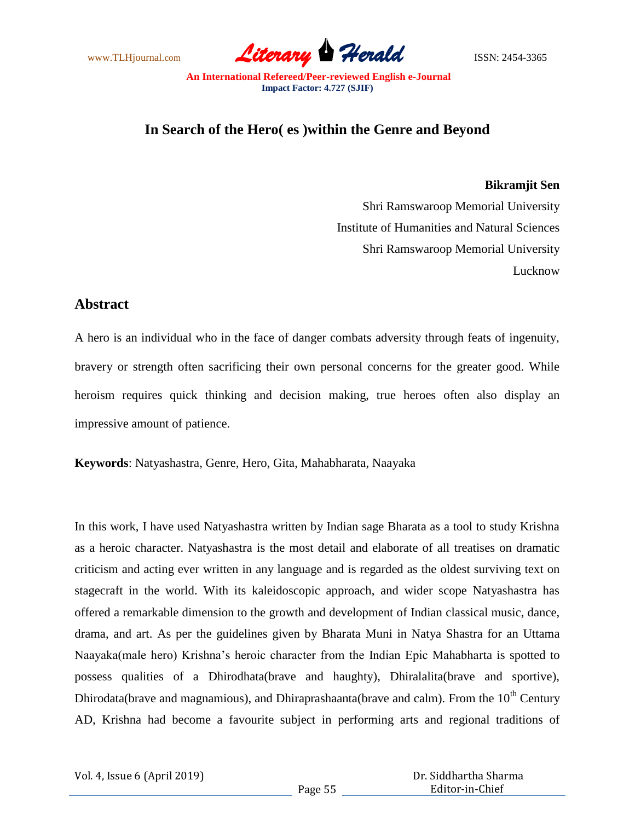www.TLHjournal.com **Literary Herald Herald** ISSN: 2454-3365

# **In Search of the Hero( es )within the Genre and Beyond**

### **Bikramjit Sen**

Shri Ramswaroop Memorial University Institute of Humanities and Natural Sciences Shri Ramswaroop Memorial University Lucknow

# **Abstract**

A hero is an individual who in the face of danger combats adversity through feats of ingenuity, bravery or strength often sacrificing their own personal concerns for the greater good. While heroism requires quick thinking and decision making, true heroes often also display an impressive amount of patience.

**Keywords**: Natyashastra, Genre, Hero, Gita, Mahabharata, Naayaka

In this work, I have used Natyashastra written by Indian sage Bharata as a tool to study Krishna as a heroic character. Natyashastra is the most detail and elaborate of all treatises on dramatic criticism and acting ever written in any language and is regarded as the oldest surviving text on stagecraft in the world. With its kaleidoscopic approach, and wider scope Natyashastra has offered a remarkable dimension to the growth and development of Indian classical music, dance, drama, and art. As per the guidelines given by Bharata Muni in Natya Shastra for an Uttama Naayaka(male hero) Krishna's heroic character from the Indian Epic Mahabharta is spotted to possess qualities of a Dhirodhata(brave and haughty), Dhiralalita(brave and sportive), Dhirodata(brave and magnamious), and Dhiraprashaanta(brave and calm). From the  $10<sup>th</sup>$  Century AD, Krishna had become a favourite subject in performing arts and regional traditions of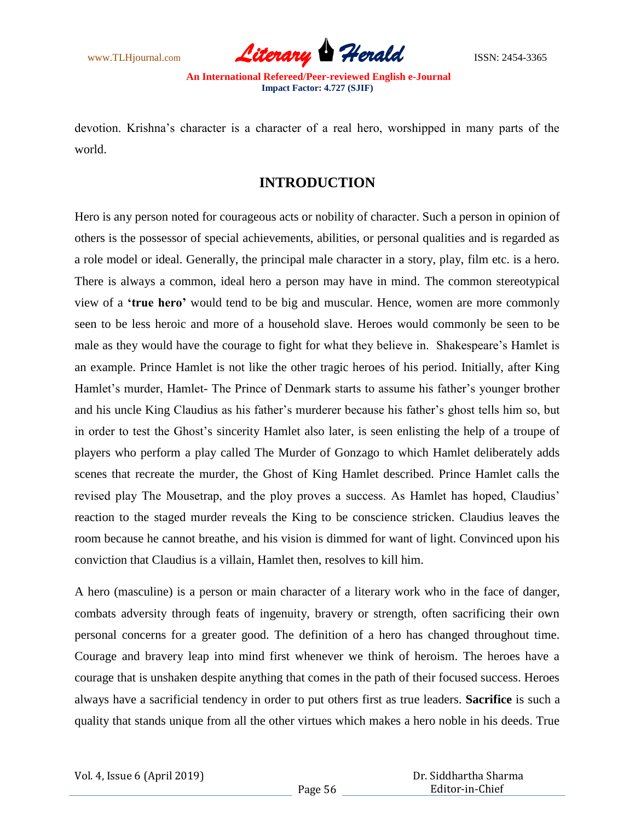

devotion. Krishna's character is a character of a real hero, worshipped in many parts of the world.

# **INTRODUCTION**

Hero is any person noted for courageous acts or nobility of character. Such a person in opinion of others is the possessor of special achievements, abilities, or personal qualities and is regarded as a role model or ideal. Generally, the principal male character in a story, play, film etc. is a hero. There is always a common, ideal hero a person may have in mind. The common stereotypical view of a **'true hero'** would tend to be big and muscular. Hence, women are more commonly seen to be less heroic and more of a household slave. Heroes would commonly be seen to be male as they would have the courage to fight for what they believe in. Shakespeare's Hamlet is an example. Prince Hamlet is not like the other tragic heroes of his period. Initially, after King Hamlet's murder, Hamlet- The Prince of Denmark starts to assume his father's younger brother and his uncle King Claudius as his father's murderer because his father's ghost tells him so, but in order to test the Ghost's sincerity Hamlet also later, is seen enlisting the help of a troupe of players who perform a play called The Murder of Gonzago to which Hamlet deliberately adds scenes that recreate the murder, the Ghost of King Hamlet described. Prince Hamlet calls the revised play The Mousetrap, and the ploy proves a success. As Hamlet has hoped, Claudius' reaction to the staged murder reveals the King to be conscience stricken. Claudius leaves the room because he cannot breathe, and his vision is dimmed for want of light. Convinced upon his conviction that Claudius is a villain, Hamlet then, resolves to kill him.

A hero (masculine) is a person or main character of a literary work who in the face of danger, combats adversity through feats of ingenuity, bravery or strength, often sacrificing their own personal concerns for a greater good. The definition of a hero has changed throughout time. Courage and bravery leap into mind first whenever we think of heroism. The heroes have a courage that is unshaken despite anything that comes in the path of their focused success. Heroes always have a sacrificial tendency in order to put others first as true leaders. **Sacrifice** is such a quality that stands unique from all the other virtues which makes a hero noble in his deeds. True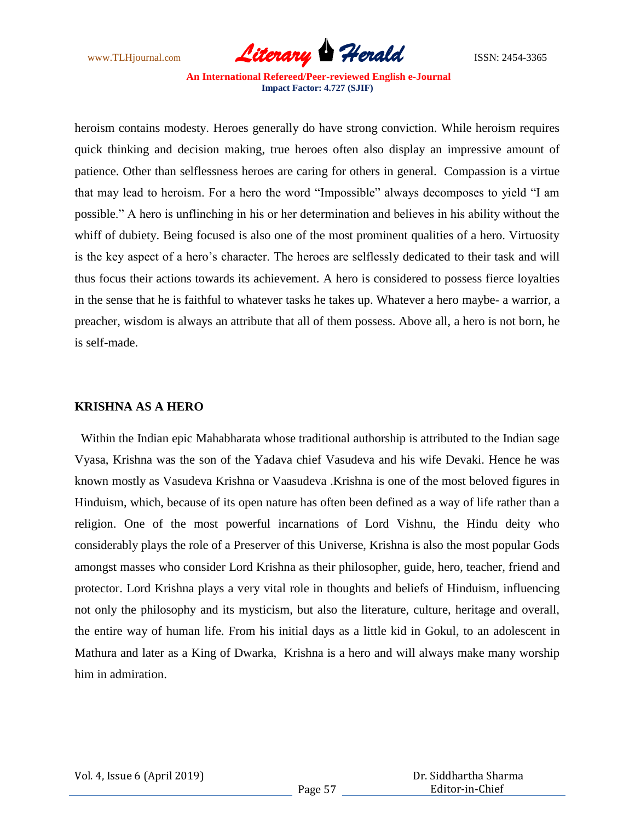

heroism contains modesty. Heroes generally do have strong conviction. While heroism requires quick thinking and decision making, true heroes often also display an impressive amount of patience. Other than selflessness heroes are caring for others in general. Compassion is a virtue that may lead to heroism. For a hero the word "Impossible" always decomposes to yield "I am possible.‖ A hero is unflinching in his or her determination and believes in his ability without the whiff of dubiety. Being focused is also one of the most prominent qualities of a hero. Virtuosity is the key aspect of a hero's character. The heroes are selflessly dedicated to their task and will thus focus their actions towards its achievement. A hero is considered to possess fierce loyalties in the sense that he is faithful to whatever tasks he takes up. Whatever a hero maybe- a warrior, a preacher, wisdom is always an attribute that all of them possess. Above all, a hero is not born, he is self-made.

## **KRISHNA AS A HERO**

 Within the Indian epic Mahabharata whose traditional authorship is attributed to the Indian sage Vyasa, Krishna was the son of the Yadava chief Vasudeva and his wife Devaki. Hence he was known mostly as Vasudeva Krishna or Vaasudeva .Krishna is one of the most beloved figures in Hinduism, which, because of its open nature has often been defined as a way of life rather than a religion. One of the most powerful incarnations of Lord Vishnu, the Hindu deity who considerably plays the role of a Preserver of this Universe, Krishna is also the most popular Gods amongst masses who consider Lord Krishna as their philosopher, guide, hero, teacher, friend and protector. Lord Krishna plays a very vital role in thoughts and beliefs of Hinduism, influencing not only the philosophy and its mysticism, but also the literature, culture, heritage and overall, the entire way of human life. From his initial days as a little kid in Gokul, to an adolescent in Mathura and later as a King of Dwarka, Krishna is a hero and will always make many worship him in admiration.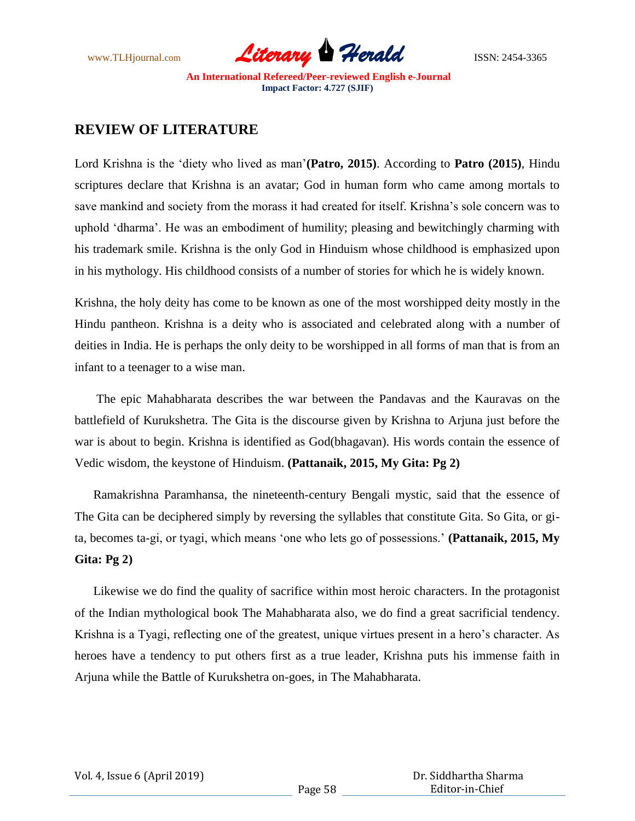

# **REVIEW OF LITERATURE**

Lord Krishna is the ‗diety who lived as man'**(Patro, 2015)**. According to **Patro (2015)**, Hindu scriptures declare that Krishna is an avatar; God in human form who came among mortals to save mankind and society from the morass it had created for itself. Krishna's sole concern was to uphold ‗dharma'. He was an embodiment of humility; pleasing and bewitchingly charming with his trademark smile. Krishna is the only God in Hinduism whose childhood is emphasized upon in his mythology. His childhood consists of a number of stories for which he is widely known.

Krishna, the holy deity has come to be known as one of the most worshipped deity mostly in the Hindu pantheon. Krishna is a deity who is associated and celebrated along with a number of deities in India. He is perhaps the only deity to be worshipped in all forms of man that is from an infant to a teenager to a wise man.

 The epic Mahabharata describes the war between the Pandavas and the Kauravas on the battlefield of Kurukshetra. The Gita is the discourse given by Krishna to Arjuna just before the war is about to begin. Krishna is identified as God(bhagavan). His words contain the essence of Vedic wisdom, the keystone of Hinduism. **(Pattanaik, 2015, My Gita: Pg 2)**

 Ramakrishna Paramhansa, the nineteenth-century Bengali mystic, said that the essence of The Gita can be deciphered simply by reversing the syllables that constitute Gita. So Gita, or gita, becomes ta-gi, or tyagi, which means 'one who lets go of possessions.' (**Pattanaik, 2015, My Gita: Pg 2)**

 Likewise we do find the quality of sacrifice within most heroic characters. In the protagonist of the Indian mythological book The Mahabharata also, we do find a great sacrificial tendency. Krishna is a Tyagi, reflecting one of the greatest, unique virtues present in a hero's character. As heroes have a tendency to put others first as a true leader, Krishna puts his immense faith in Arjuna while the Battle of Kurukshetra on-goes, in The Mahabharata.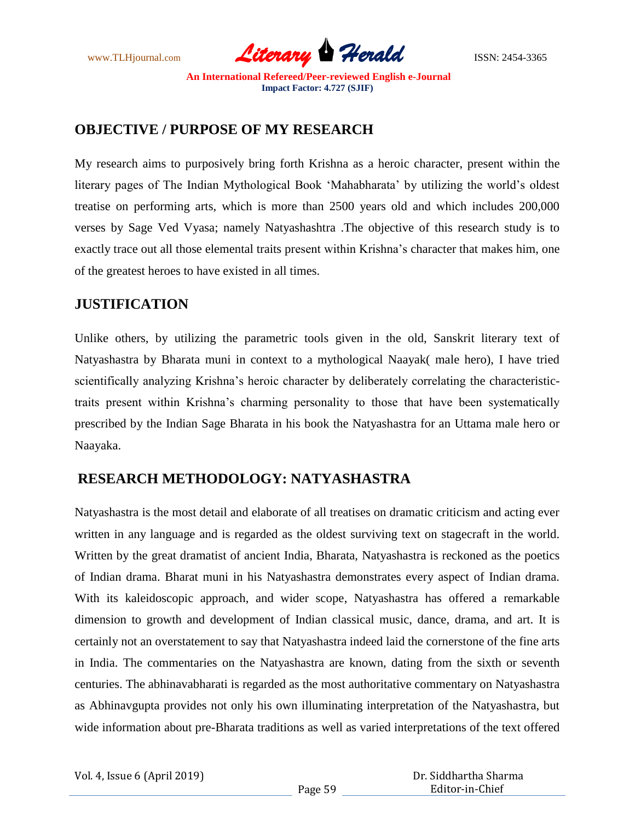

# **OBJECTIVE / PURPOSE OF MY RESEARCH**

My research aims to purposively bring forth Krishna as a heroic character, present within the literary pages of The Indian Mythological Book ‗Mahabharata' by utilizing the world's oldest treatise on performing arts, which is more than 2500 years old and which includes 200,000 verses by Sage Ved Vyasa; namely Natyashashtra .The objective of this research study is to exactly trace out all those elemental traits present within Krishna's character that makes him, one of the greatest heroes to have existed in all times.

# **JUSTIFICATION**

Unlike others, by utilizing the parametric tools given in the old, Sanskrit literary text of Natyashastra by Bharata muni in context to a mythological Naayak( male hero), I have tried scientifically analyzing Krishna's heroic character by deliberately correlating the characteristictraits present within Krishna's charming personality to those that have been systematically prescribed by the Indian Sage Bharata in his book the Natyashastra for an Uttama male hero or Naayaka.

# **RESEARCH METHODOLOGY: NATYASHASTRA**

Natyashastra is the most detail and elaborate of all treatises on dramatic criticism and acting ever written in any language and is regarded as the oldest surviving text on stagecraft in the world. Written by the great dramatist of ancient India, Bharata, Natyashastra is reckoned as the poetics of Indian drama. Bharat muni in his Natyashastra demonstrates every aspect of Indian drama. With its kaleidoscopic approach, and wider scope, Natyashastra has offered a remarkable dimension to growth and development of Indian classical music, dance, drama, and art. It is certainly not an overstatement to say that Natyashastra indeed laid the cornerstone of the fine arts in India. The commentaries on the Natyashastra are known, dating from the sixth or seventh centuries. The abhinavabharati is regarded as the most authoritative commentary on Natyashastra as Abhinavgupta provides not only his own illuminating interpretation of the Natyashastra, but wide information about pre-Bharata traditions as well as varied interpretations of the text offered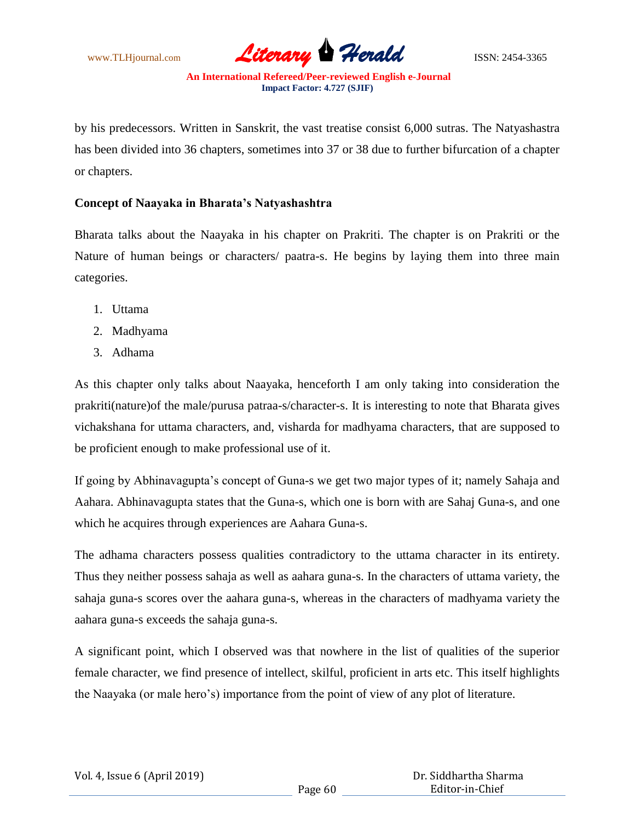

by his predecessors. Written in Sanskrit, the vast treatise consist 6,000 sutras. The Natyashastra has been divided into 36 chapters, sometimes into 37 or 38 due to further bifurcation of a chapter or chapters.

## **Concept of Naayaka in Bharata's Natyashashtra**

Bharata talks about the Naayaka in his chapter on Prakriti. The chapter is on Prakriti or the Nature of human beings or characters/ paatra-s. He begins by laying them into three main categories.

- 1. Uttama
- 2. Madhyama
- 3. Adhama

As this chapter only talks about Naayaka, henceforth I am only taking into consideration the prakriti(nature)of the male/purusa patraa-s/character-s. It is interesting to note that Bharata gives vichakshana for uttama characters, and, visharda for madhyama characters, that are supposed to be proficient enough to make professional use of it.

If going by Abhinavagupta's concept of Guna-s we get two major types of it; namely Sahaja and Aahara. Abhinavagupta states that the Guna-s, which one is born with are Sahaj Guna-s, and one which he acquires through experiences are Aahara Guna-s.

The adhama characters possess qualities contradictory to the uttama character in its entirety. Thus they neither possess sahaja as well as aahara guna-s. In the characters of uttama variety, the sahaja guna-s scores over the aahara guna-s, whereas in the characters of madhyama variety the aahara guna-s exceeds the sahaja guna-s.

A significant point, which I observed was that nowhere in the list of qualities of the superior female character, we find presence of intellect, skilful, proficient in arts etc. This itself highlights the Naayaka (or male hero's) importance from the point of view of any plot of literature.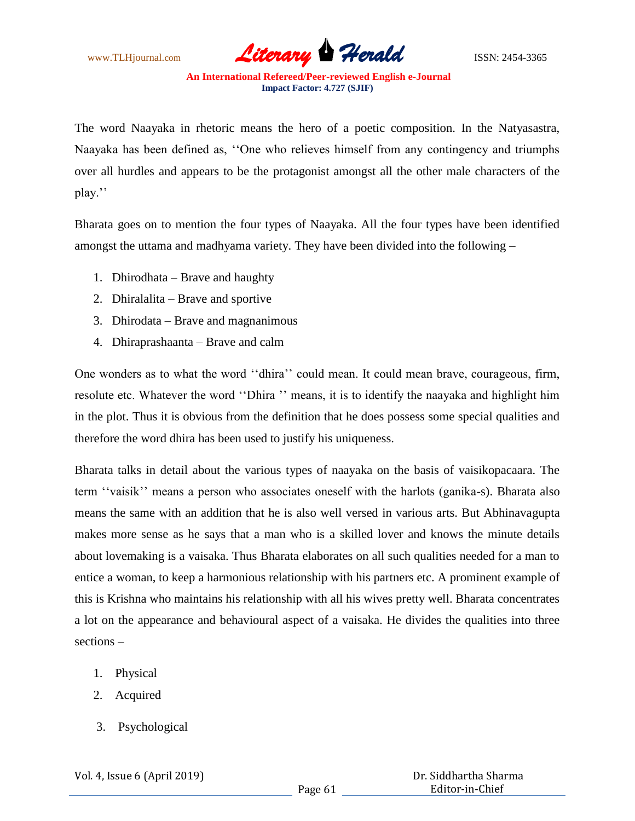www.TLHjournal.com **Literary Herald ISSN: 2454-3365** 

The word Naayaka in rhetoric means the hero of a poetic composition. In the Natyasastra, Naayaka has been defined as, "One who relieves himself from any contingency and triumphs over all hurdles and appears to be the protagonist amongst all the other male characters of the play.''

Bharata goes on to mention the four types of Naayaka. All the four types have been identified amongst the uttama and madhyama variety. They have been divided into the following –

- 1. Dhirodhata Brave and haughty
- 2. Dhiralalita Brave and sportive
- 3. Dhirodata Brave and magnanimous
- 4. Dhiraprashaanta Brave and calm

One wonders as to what the word "dhira" could mean. It could mean brave, courageous, firm, resolute etc. Whatever the word "Dhira " means, it is to identify the naayaka and highlight him in the plot. Thus it is obvious from the definition that he does possess some special qualities and therefore the word dhira has been used to justify his uniqueness.

Bharata talks in detail about the various types of naayaka on the basis of vaisikopacaara. The term "vaisik" means a person who associates oneself with the harlots (ganika-s). Bharata also means the same with an addition that he is also well versed in various arts. But Abhinavagupta makes more sense as he says that a man who is a skilled lover and knows the minute details about lovemaking is a vaisaka. Thus Bharata elaborates on all such qualities needed for a man to entice a woman, to keep a harmonious relationship with his partners etc. A prominent example of this is Krishna who maintains his relationship with all his wives pretty well. Bharata concentrates a lot on the appearance and behavioural aspect of a vaisaka. He divides the qualities into three sections –

- 1. Physical
- 2. Acquired
- 3. Psychological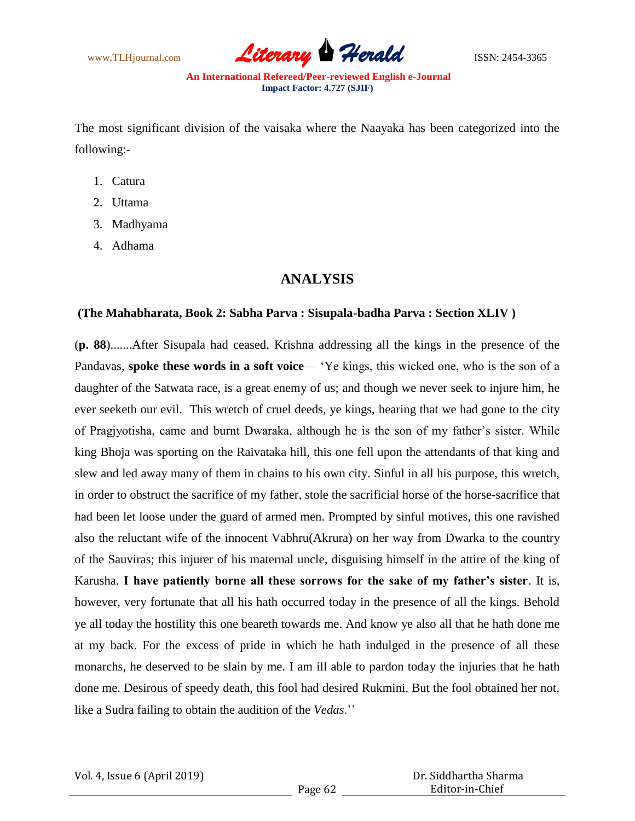

The most significant division of the vaisaka where the Naayaka has been categorized into the following:-

- 1. Catura
- 2. Uttama
- 3. Madhyama
- 4. Adhama

# **ANALYSIS**

#### **(The Mahabharata, Book 2: Sabha Parva : Sisupala-badha Parva : Section XLIV )**

(**p. 88**).......After Sisupala had ceased, Krishna addressing all the kings in the presence of the Pandavas, **spoke these words in a soft voice**— 'Ye kings, this wicked one, who is the son of a daughter of the Satwata race, is a great enemy of us; and though we never seek to injure him, he ever seeketh our evil. This wretch of cruel deeds, ye kings, hearing that we had gone to the city of Pragjyotisha, came and burnt Dwaraka, although he is the son of my father's sister. While king Bhoja was sporting on the Raivataka hill, this one fell upon the attendants of that king and slew and led away many of them in chains to his own city. Sinful in all his purpose, this wretch, in order to obstruct the sacrifice of my father, stole the sacrificial horse of the horse-sacrifice that had been let loose under the guard of armed men. Prompted by sinful motives, this one ravished also the reluctant wife of the innocent Vabhru(Akrura) on her way from Dwarka to the country of the Sauviras; this injurer of his maternal uncle, disguising himself in the attire of the king of Karusha. **I have patiently borne all these sorrows for the sake of my father's sister**. It is, however, very fortunate that all his hath occurred today in the presence of all the kings. Behold ye all today the hostility this one beareth towards me. And know ye also all that he hath done me at my back. For the excess of pride in which he hath indulged in the presence of all these monarchs, he deserved to be slain by me. I am ill able to pardon today the injuries that he hath done me. Desirous of speedy death, this fool had desired Rukmini. But the fool obtained her not, like a Sudra failing to obtain the audition of the *Vedas*.''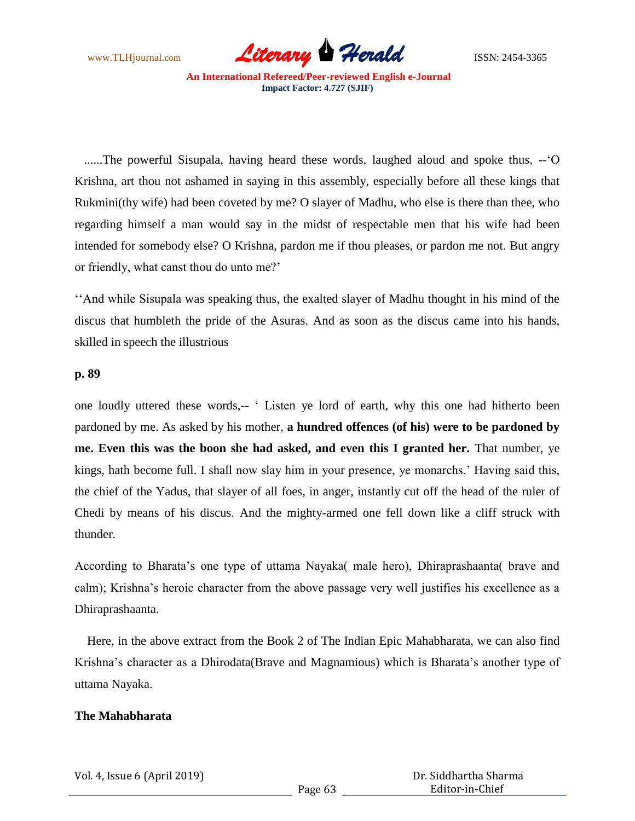

 ......The powerful Sisupala, having heard these words, laughed aloud and spoke thus, --‗O Krishna, art thou not ashamed in saying in this assembly, especially before all these kings that Rukmini(thy wife) had been coveted by me? O slayer of Madhu, who else is there than thee, who regarding himself a man would say in the midst of respectable men that his wife had been intended for somebody else? O Krishna, pardon me if thou pleases, or pardon me not. But angry or friendly, what canst thou do unto me?'

‗‗And while Sisupala was speaking thus, the exalted slayer of Madhu thought in his mind of the discus that humbleth the pride of the Asuras. And as soon as the discus came into his hands, skilled in speech the illustrious

## **p. 89**

one loudly uttered these words,-- ‗ Listen ye lord of earth, why this one had hitherto been pardoned by me. As asked by his mother, **a hundred offences (of his) were to be pardoned by me. Even this was the boon she had asked, and even this I granted her.** That number, ye kings, hath become full. I shall now slay him in your presence, ye monarchs.' Having said this, the chief of the Yadus, that slayer of all foes, in anger, instantly cut off the head of the ruler of Chedi by means of his discus. And the mighty-armed one fell down like a cliff struck with thunder.

According to Bharata's one type of uttama Nayaka( male hero), Dhiraprashaanta( brave and calm); Krishna's heroic character from the above passage very well justifies his excellence as a Dhiraprashaanta.

 Here, in the above extract from the Book 2 of The Indian Epic Mahabharata, we can also find Krishna's character as a Dhirodata(Brave and Magnamious) which is Bharata's another type of uttama Nayaka.

## **The Mahabharata**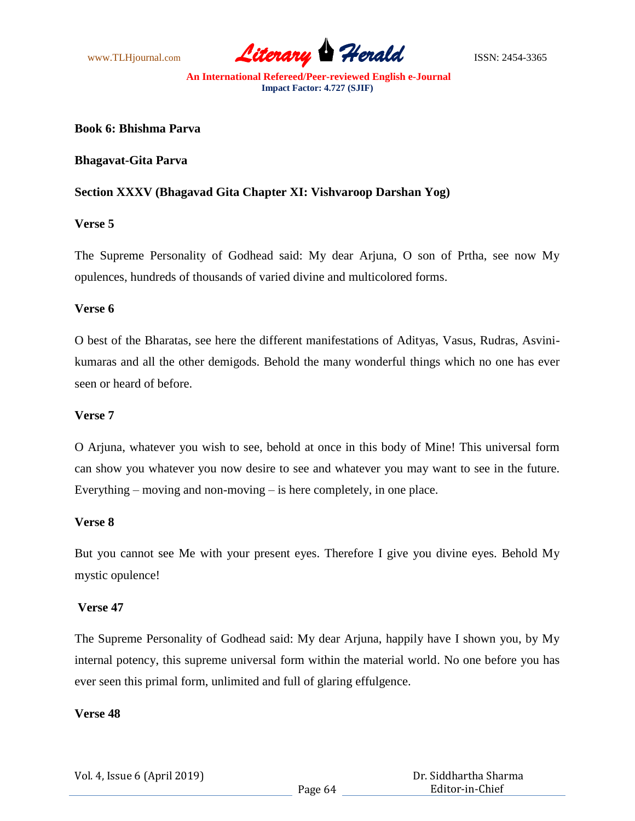

**Book 6: Bhishma Parva**

**Bhagavat-Gita Parva**

## **Section XXXV (Bhagavad Gita Chapter XI: Vishvaroop Darshan Yog)**

## **Verse 5**

The Supreme Personality of Godhead said: My dear Arjuna, O son of Prtha, see now My opulences, hundreds of thousands of varied divine and multicolored forms.

## **Verse 6**

O best of the Bharatas, see here the different manifestations of Adityas, Vasus, Rudras, Asvinikumaras and all the other demigods. Behold the many wonderful things which no one has ever seen or heard of before.

### **Verse 7**

O Arjuna, whatever you wish to see, behold at once in this body of Mine! This universal form can show you whatever you now desire to see and whatever you may want to see in the future. Everything – moving and non-moving – is here completely, in one place.

## **Verse 8**

But you cannot see Me with your present eyes. Therefore I give you divine eyes. Behold My mystic opulence!

#### **Verse 47**

The Supreme Personality of Godhead said: My dear Arjuna, happily have I shown you, by My internal potency, this supreme universal form within the material world. No one before you has ever seen this primal form, unlimited and full of glaring effulgence.

#### **Verse 48**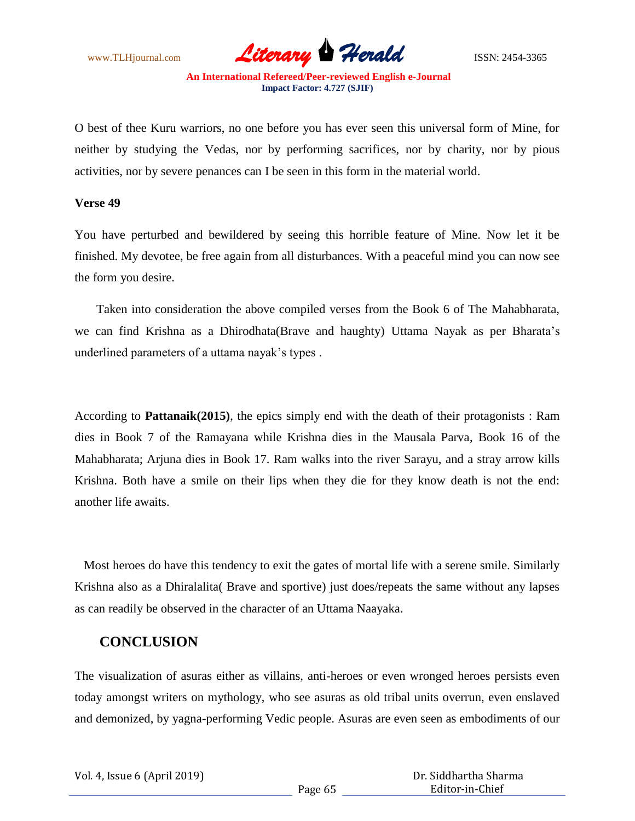

O best of thee Kuru warriors, no one before you has ever seen this universal form of Mine, for neither by studying the Vedas, nor by performing sacrifices, nor by charity, nor by pious activities, nor by severe penances can I be seen in this form in the material world.

#### **Verse 49**

You have perturbed and bewildered by seeing this horrible feature of Mine. Now let it be finished. My devotee, be free again from all disturbances. With a peaceful mind you can now see the form you desire.

 Taken into consideration the above compiled verses from the Book 6 of The Mahabharata, we can find Krishna as a Dhirodhata(Brave and haughty) Uttama Nayak as per Bharata's underlined parameters of a uttama nayak's types .

According to **Pattanaik(2015)**, the epics simply end with the death of their protagonists : Ram dies in Book 7 of the Ramayana while Krishna dies in the Mausala Parva, Book 16 of the Mahabharata; Arjuna dies in Book 17. Ram walks into the river Sarayu, and a stray arrow kills Krishna. Both have a smile on their lips when they die for they know death is not the end: another life awaits.

 Most heroes do have this tendency to exit the gates of mortal life with a serene smile. Similarly Krishna also as a Dhiralalita( Brave and sportive) just does/repeats the same without any lapses as can readily be observed in the character of an Uttama Naayaka.

# **CONCLUSION**

The visualization of asuras either as villains, anti-heroes or even wronged heroes persists even today amongst writers on mythology, who see asuras as old tribal units overrun, even enslaved and demonized, by yagna-performing Vedic people. Asuras are even seen as embodiments of our

| Vol. 4, Issue 6 (April 2019) |  |  |  |
|------------------------------|--|--|--|
|------------------------------|--|--|--|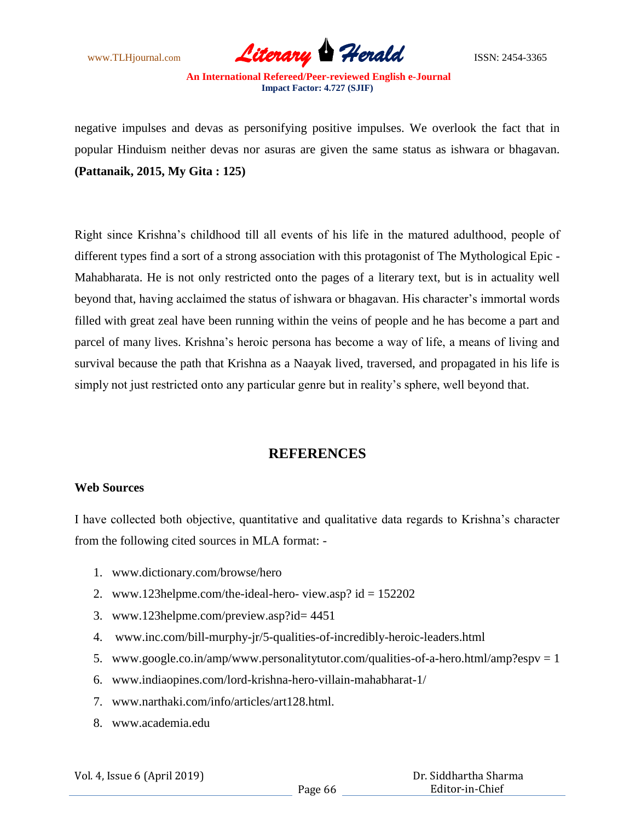

negative impulses and devas as personifying positive impulses. We overlook the fact that in popular Hinduism neither devas nor asuras are given the same status as ishwara or bhagavan. **(Pattanaik, 2015, My Gita : 125)** 

Right since Krishna's childhood till all events of his life in the matured adulthood, people of different types find a sort of a strong association with this protagonist of The Mythological Epic - Mahabharata. He is not only restricted onto the pages of a literary text, but is in actuality well beyond that, having acclaimed the status of ishwara or bhagavan. His character's immortal words filled with great zeal have been running within the veins of people and he has become a part and parcel of many lives. Krishna's heroic persona has become a way of life, a means of living and survival because the path that Krishna as a Naayak lived, traversed, and propagated in his life is simply not just restricted onto any particular genre but in reality's sphere, well beyond that.

## **REFERENCES**

### **Web Sources**

I have collected both objective, quantitative and qualitative data regards to Krishna's character from the following cited sources in MLA format: -

- 1. www.dictionary.com/browse/hero
- 2. www.123helpme.com/the-ideal-hero- view.asp?  $id = 152202$
- 3. www.123helpme.com/preview.asp?id= 4451
- 4. www.inc.com/bill-murphy-jr/5-qualities-of-incredibly-heroic-leaders.html
- 5. www.google.co.in/amp/www.personalitytutor.com/qualities-of-a-hero.html/amp?espv = 1
- 6. www.indiaopines.com/lord-krishna-hero-villain-mahabharat-1/
- 7. www.narthaki.com/info/articles/art128.html.
- 8. www.academia.edu